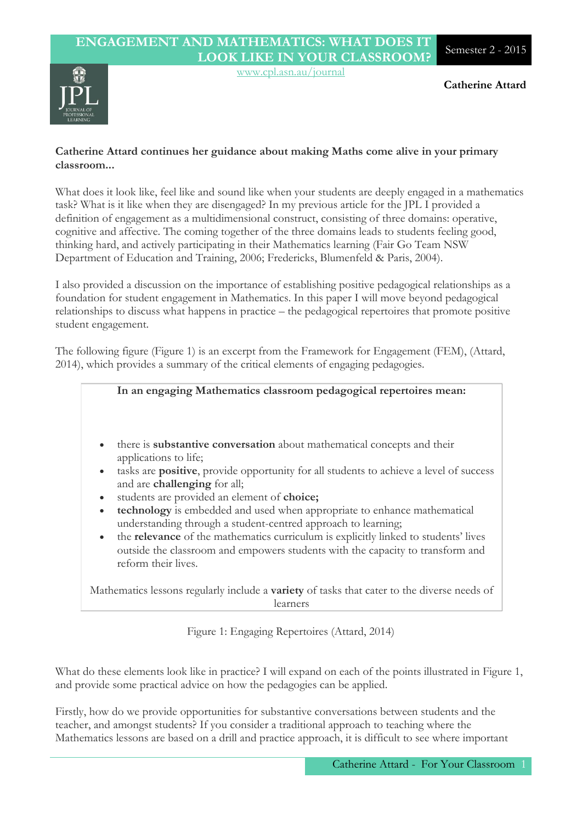### **ENGAGEMENT AND MATHEMATICS: WHAT DOES IT LOOK LIKE IN YOUR CLASSROOM?** Semester 2 - <sup>2015</sup>

www.cpl.asn.au/journal



#### **Catherine Attard continues her guidance about making Maths come alive in your primary classroom...**

What does it look like, feel like and sound like when your students are deeply engaged in a mathematics task? What is it like when they are disengaged? In my previous article for the JPL I provided a definition of engagement as a multidimensional construct, consisting of three domains: operative, cognitive and affective. The coming together of the three domains leads to students feeling good, thinking hard, and actively participating in their Mathematics learning (Fair Go Team NSW Department of Education and Training, 2006; Fredericks, Blumenfeld & Paris, 2004).

I also provided a discussion on the importance of establishing positive pedagogical relationships as a foundation for student engagement in Mathematics. In this paper I will move beyond pedagogical relationships to discuss what happens in practice – the pedagogical repertoires that promote positive student engagement.

The following figure (Figure 1) is an excerpt from the Framework for Engagement (FEM), (Attard, 2014), which provides a summary of the critical elements of engaging pedagogies.

|                                     | In an engaging Mathematics classroom pedagogical repertoires mean:                                                                                                                                                                                                                                                                                                                                                                                                                                                                                                                                                                                         |
|-------------------------------------|------------------------------------------------------------------------------------------------------------------------------------------------------------------------------------------------------------------------------------------------------------------------------------------------------------------------------------------------------------------------------------------------------------------------------------------------------------------------------------------------------------------------------------------------------------------------------------------------------------------------------------------------------------|
| $\bullet$<br>$\bullet$<br>$\bullet$ | there is <b>substantive conversation</b> about mathematical concepts and their<br>applications to life;<br>tasks are <b>positive</b> , provide opportunity for all students to achieve a level of success<br>and are <b>challenging</b> for all;<br>students are provided an element of choice;<br><b>technology</b> is embedded and used when appropriate to enhance mathematical<br>understanding through a student-centred approach to learning;<br>the <b>relevance</b> of the mathematics curriculum is explicitly linked to students' lives<br>outside the classroom and empowers students with the capacity to transform and<br>reform their lives. |

Mathematics lessons regularly include a **variety** of tasks that cater to the diverse needs of learners

Figure 1: Engaging Repertoires (Attard, 2014)

What do these elements look like in practice? I will expand on each of the points illustrated in Figure 1, and provide some practical advice on how the pedagogies can be applied.

Firstly, how do we provide opportunities for substantive conversations between students and the teacher, and amongst students? If you consider a traditional approach to teaching where the Mathematics lessons are based on a drill and practice approach, it is difficult to see where important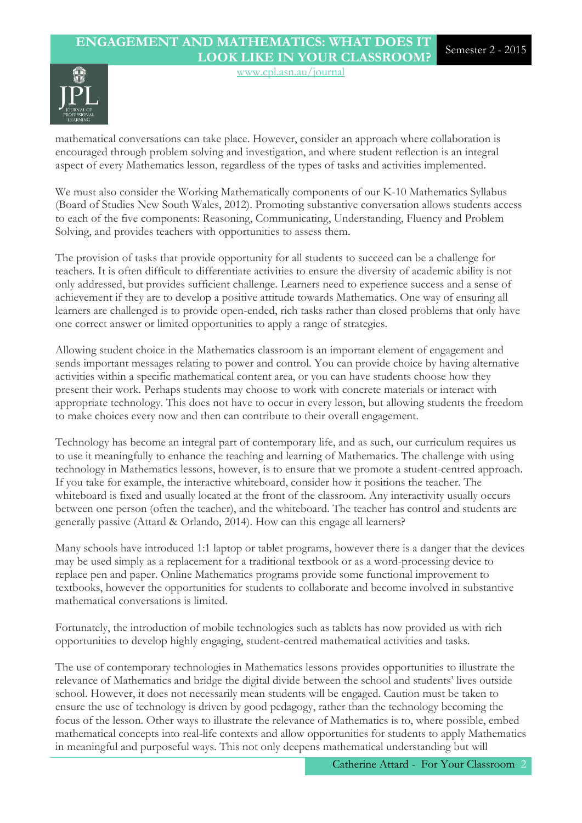## **ENGAGEMENT AND MATHEMATICS: WHAT DOES IT LOOK LIKE IN YOUR CLASSROOM?** Semester 2 - <sup>2015</sup>



mathematical conversations can take place. However, consider an approach where collaboration is encouraged through problem solving and investigation, and where student reflection is an integral aspect of every Mathematics lesson, regardless of the types of tasks and activities implemented.

www.cpl.asn.au/journal

We must also consider the Working Mathematically components of our K-10 Mathematics Syllabus (Board of Studies New South Wales, 2012). Promoting substantive conversation allows students access to each of the five components: Reasoning, Communicating, Understanding, Fluency and Problem Solving, and provides teachers with opportunities to assess them.

The provision of tasks that provide opportunity for all students to succeed can be a challenge for teachers. It is often difficult to differentiate activities to ensure the diversity of academic ability is not only addressed, but provides sufficient challenge. Learners need to experience success and a sense of achievement if they are to develop a positive attitude towards Mathematics. One way of ensuring all learners are challenged is to provide open-ended, rich tasks rather than closed problems that only have one correct answer or limited opportunities to apply a range of strategies.

Allowing student choice in the Mathematics classroom is an important element of engagement and sends important messages relating to power and control. You can provide choice by having alternative activities within a specific mathematical content area, or you can have students choose how they present their work. Perhaps students may choose to work with concrete materials or interact with appropriate technology. This does not have to occur in every lesson, but allowing students the freedom to make choices every now and then can contribute to their overall engagement.

Technology has become an integral part of contemporary life, and as such, our curriculum requires us to use it meaningfully to enhance the teaching and learning of Mathematics. The challenge with using technology in Mathematics lessons, however, is to ensure that we promote a student-centred approach. If you take for example, the interactive whiteboard, consider how it positions the teacher. The whiteboard is fixed and usually located at the front of the classroom. Any interactivity usually occurs between one person (often the teacher), and the whiteboard. The teacher has control and students are generally passive (Attard & Orlando, 2014). How can this engage all learners?

Many schools have introduced 1:1 laptop or tablet programs, however there is a danger that the devices may be used simply as a replacement for a traditional textbook or as a word-processing device to replace pen and paper. Online Mathematics programs provide some functional improvement to textbooks, however the opportunities for students to collaborate and become involved in substantive mathematical conversations is limited.

Fortunately, the introduction of mobile technologies such as tablets has now provided us with rich opportunities to develop highly engaging, student-centred mathematical activities and tasks.

The use of contemporary technologies in Mathematics lessons provides opportunities to illustrate the relevance of Mathematics and bridge the digital divide between the school and students' lives outside school. However, it does not necessarily mean students will be engaged. Caution must be taken to ensure the use of technology is driven by good pedagogy, rather than the technology becoming the focus of the lesson. Other ways to illustrate the relevance of Mathematics is to, where possible, embed mathematical concepts into real-life contexts and allow opportunities for students to apply Mathematics in meaningful and purposeful ways. This not only deepens mathematical understanding but will